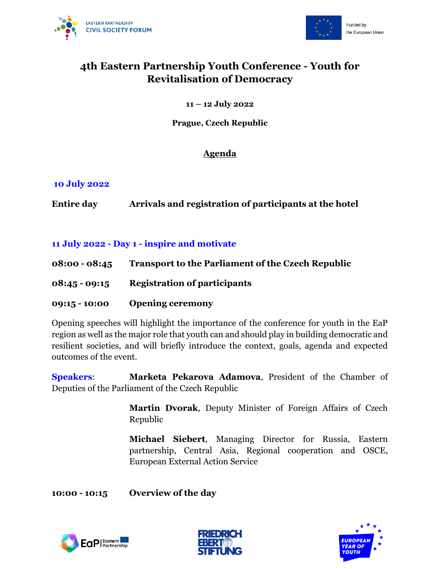



# **4th Eastern Partnership Youth Conference - Youth for Revitalisation of Democracy**

#### **11 – 12 July 2022**

#### **Prague, Czech Republic**

### **Agenda**

#### **10 July 2022**

**Entire day Arrivals and registration of participants at the hotel**

### **11 July 2022 - Day 1 - inspire and motivate**

- **08:00 - 08:45 Transport to the Parliament of the Czech Republic**
- **08:45 - 09:15 Registration of participants**
- **09:15 - 10:00 Opening ceremony**

Opening speeches will highlight the importance of the conference for youth in the EaP region as well as the major role that youth can and should play in building democratic and resilient societies, and will briefly introduce the context, goals, agenda and expected outcomes of the event.

**Speakers**: **Marketa Pekarova Adamova**, President of the Chamber of Deputies of the Parliament of the Czech Republic

> **Martin Dvorak**, Deputy Minister of Foreign Affairs of Czech Republic

> **Michael Siebert**, Managing Director for Russia, Eastern partnership, Central Asia, Regional cooperation and OSCE, European External Action Service

**10:00 - 10:15 Overview of the day** 





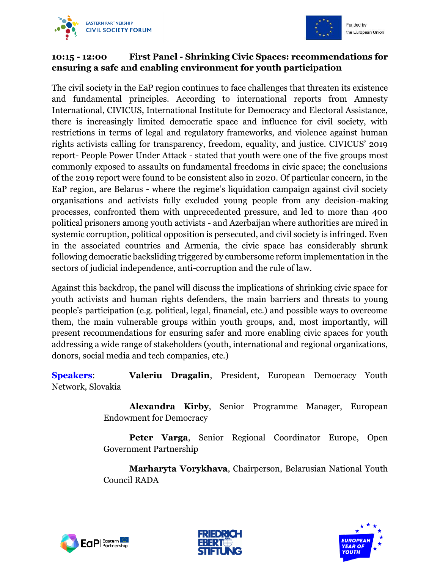



# **10:15 - 12:00 First Panel - Shrinking Civic Spaces: recommendations for ensuring a safe and enabling environment for youth participation**

The civil society in the EaP region continues to face challenges that threaten its existence and fundamental principles. According to international reports from Amnesty International, CIVICUS, International Institute for Democracy and Electoral Assistance, there is increasingly limited democratic space and influence for civil society, with restrictions in terms of legal and regulatory frameworks, and violence against human rights activists calling for transparency, freedom, equality, and justice. CIVICUS' 2019 report- People Power Under Attack - stated that youth were one of the five groups most commonly exposed to assaults on fundamental freedoms in civic space; the conclusions of the 2019 report were found to be consistent also in 2020. Of particular concern, in the EaP region, are Belarus - where the regime's liquidation campaign against civil society organisations and activists fully excluded young people from any decision-making processes, confronted them with unprecedented pressure, and led to more than 400 political prisoners among youth activists - and Azerbaijan where authorities are mired in systemic corruption, political opposition is persecuted, and civil society is infringed. Even in the associated countries and Armenia, the civic space has considerably shrunk following democratic backsliding triggered by cumbersome reform implementation in the sectors of judicial independence, anti-corruption and the rule of law.

Against this backdrop, the panel will discuss the implications of shrinking civic space for youth activists and human rights defenders, the main barriers and threats to young people's participation (e.g. political, legal, financial, etc.) and possible ways to overcome them, the main vulnerable groups within youth groups, and, most importantly, will present recommendations for ensuring safer and more enabling civic spaces for youth addressing a wide range of stakeholders (youth, international and regional organizations, donors, social media and tech companies, etc.)

**Speakers**: **Valeriu Dragalin**, President, European Democracy Youth Network, Slovakia

> **Alexandra Kirby**, Senior Programme Manager, European Endowment for Democracy

> **Peter Varga**, Senior Regional Coordinator Europe, Open Government Partnership

> **Marharyta Vorykhava**, Chairperson, Belarusian National Youth Council RADA





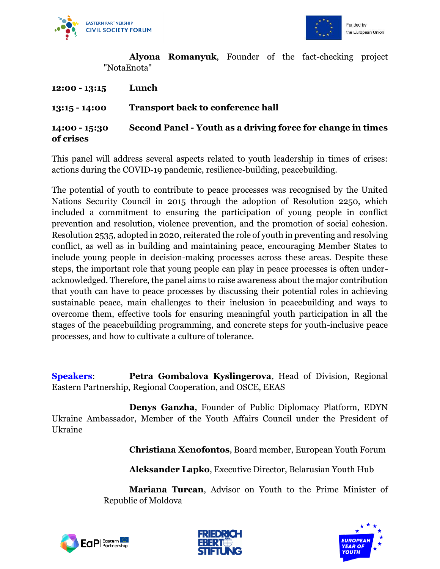



**Alyona Romanyuk**, Founder of the fact-checking project "NotaEnota"

| $12:00 - 13:15$              | Lunch                                                       |
|------------------------------|-------------------------------------------------------------|
| $13:15 - 14:00$              | <b>Transport back to conference hall</b>                    |
| $14:00 - 15:30$<br>of crises | Second Panel - Youth as a driving force for change in times |

This panel will address several aspects related to youth leadership in times of crises: actions during the COVID-19 pandemic, resilience-building, peacebuilding.

The potential of youth to contribute to peace processes was recognised by the United Nations Security Council in 2015 through the adoption of Resolution 2250, which included a commitment to ensuring the participation of young people in conflict prevention and resolution, violence prevention, and the promotion of social cohesion. Resolution 2535, adopted in 2020, reiterated the role of youth in preventing and resolving conflict, as well as in building and maintaining peace, encouraging Member States to include young people in decision-making processes across these areas. Despite these steps, the important role that young people can play in peace processes is often underacknowledged. Therefore, the panel aims to raise awareness about the major contribution that youth can have to peace processes by discussing their potential roles in achieving sustainable peace, main challenges to their inclusion in peacebuilding and ways to overcome them, effective tools for ensuring meaningful youth participation in all the stages of the peacebuilding programming, and concrete steps for youth-inclusive peace processes, and how to cultivate a culture of tolerance.

**Speakers: Petra Gombalova Kyslingerova**, Head of Division, Regional Eastern Partnership, Regional Cooperation, and OSCE, EEAS

**Denys Ganzha**, Founder of Public Diplomacy Platform, EDYN Ukraine Ambassador, Member of the Youth Affairs Council under the President of Ukraine

**Christiana Xenofontos**, Board member, European Youth Forum

**Aleksander Lapko**, Executive Director, Belarusian Youth Hub

**Mariana Turcan**, Advisor on Youth to the Prime Minister of Republic of Moldova





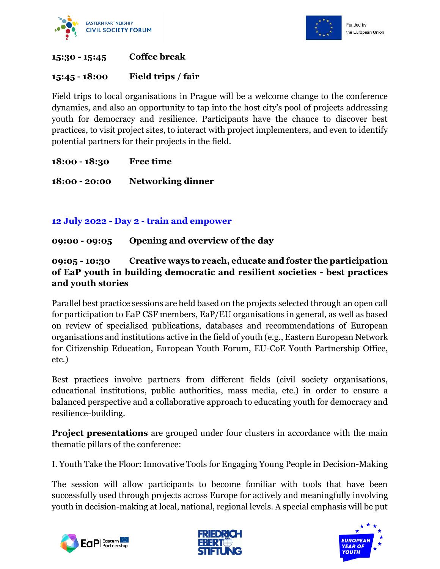



#### **15:30 - 15:45 Coffee break**

#### **15:45 - 18:00 Field trips / fair**

Field trips to local organisations in Prague will be a welcome change to the conference dynamics, and also an opportunity to tap into the host city's pool of projects addressing youth for democracy and resilience. Participants have the chance to discover best practices, to visit project sites, to interact with project implementers, and even to identify potential partners for their projects in the field.

#### **18:00 - 18:30 Free time**

**18:00 - 20:00 Networking dinner**

#### **12 July 2022 - Day 2 - train and empower**

#### **09:00 - 09:05 Opening and overview of the day**

### **09:05 - 10:30 Creative ways to reach, educate and foster the participation of EaP youth in building democratic and resilient societies - best practices and youth stories**

Parallel best practice sessions are held based on the projects selected through an open call for participation to EaP CSF members, EaP/EU organisations in general, as well as based on review of specialised publications, databases and recommendations of European organisations and institutions active in the field of youth (e.g., Eastern European Network for Citizenship Education, European Youth Forum, EU-CoE Youth Partnership Office, etc.)

Best practices involve partners from different fields (civil society organisations, educational institutions, public authorities, mass media, etc.) in order to ensure a balanced perspective and a collaborative approach to educating youth for democracy and resilience-building.

**Project presentations** are grouped under four clusters in accordance with the main thematic pillars of the conference:

I. Youth Take the Floor: Innovative Tools for Engaging Young People in Decision-Making

The session will allow participants to become familiar with tools that have been successfully used through projects across Europe for actively and meaningfully involving youth in decision-making at local, national, regional levels. A special emphasis will be put





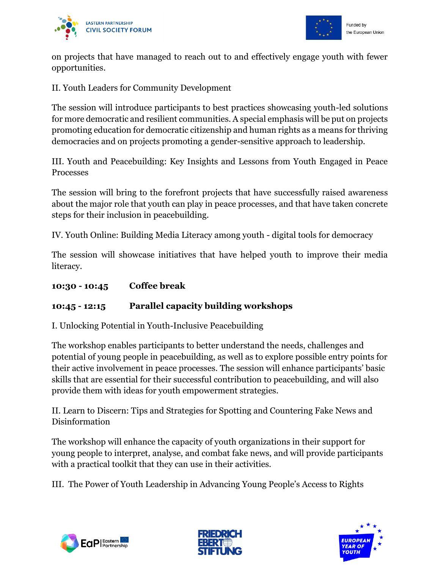



on projects that have managed to reach out to and effectively engage youth with fewer opportunities.

II. Youth Leaders for Community Development

The session will introduce participants to best practices showcasing youth-led solutions for more democratic and resilient communities. A special emphasis will be put on projects promoting education for democratic citizenship and human rights as a means for thriving democracies and on projects promoting a gender-sensitive approach to leadership.

III. Youth and Peacebuilding: Key Insights and Lessons from Youth Engaged in Peace Processes

The session will bring to the forefront projects that have successfully raised awareness about the major role that youth can play in peace processes, and that have taken concrete steps for their inclusion in peacebuilding.

IV. Youth Online: Building Media Literacy among youth - digital tools for democracy

The session will showcase initiatives that have helped youth to improve their media literacy.

**10:30 - 10:45 Coffee break**

# **10:45 - 12:15 Parallel capacity building workshops**

I. Unlocking Potential in Youth-Inclusive Peacebuilding

The workshop enables participants to better understand the needs, challenges and potential of young people in peacebuilding, as well as to explore possible entry points for their active involvement in peace processes. The session will enhance participants' basic skills that are essential for their successful contribution to peacebuilding, and will also provide them with ideas for youth empowerment strategies.

II. Learn to Discern: Tips and Strategies for Spotting and Countering Fake News and Disinformation

The workshop will enhance the capacity of youth organizations in their support for young people to interpret, analyse, and combat fake news, and will provide participants with a practical toolkit that they can use in their activities.

III. The Power of Youth Leadership in Advancing Young People's Access to Rights





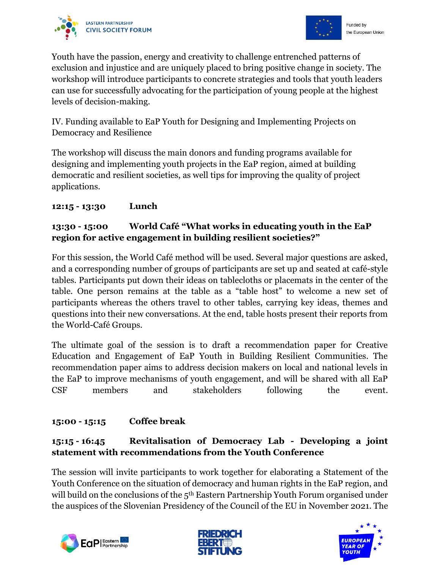



Youth have the passion, energy and creativity to challenge entrenched patterns of exclusion and injustice and are uniquely placed to bring positive change in society. The workshop will introduce participants to concrete strategies and tools that youth leaders can use for successfully advocating for the participation of young people at the highest levels of decision-making.

IV. Funding available to EaP Youth for Designing and Implementing Projects on Democracy and Resilience

The workshop will discuss the main donors and funding programs available for designing and implementing youth projects in the EaP region, aimed at building democratic and resilient societies, as well tips for improving the quality of project applications.

# **12:15 - 13:30 Lunch**

## **13:30 - 15:00 World Café "What works in educating youth in the EaP region for active engagement in building resilient societies?"**

For this session, the World Café method will be used. Several major questions are asked, and a corresponding number of groups of participants are set up and seated at café-style tables. Participants put down their ideas on tablecloths or placemats in the center of the table. One person remains at the table as a "table host" to welcome a new set of participants whereas the others travel to other tables, carrying key ideas, themes and questions into their new conversations. At the end, table hosts present their reports from the World-Café Groups.

The ultimate goal of the session is to draft a recommendation paper for Creative Education and Engagement of EaP Youth in Building Resilient Communities. The recommendation paper aims to address decision makers on local and national levels in the EaP to improve mechanisms of youth engagement, and will be shared with all EaP CSF members and stakeholders following the event.

# **15:00 - 15:15 Coffee break**

# **15:15 - 16:45 Revitalisation of Democracy Lab - Developing a joint statement with recommendations from the Youth Conference**

The session will invite participants to work together for elaborating a Statement of the Youth Conference on the situation of democracy and human rights in the EaP region, and will build on the conclusions of the  $5<sup>th</sup>$  Eastern Partnership Youth Forum organised under the auspices of the Slovenian Presidency of the Council of the EU in November 2021. The